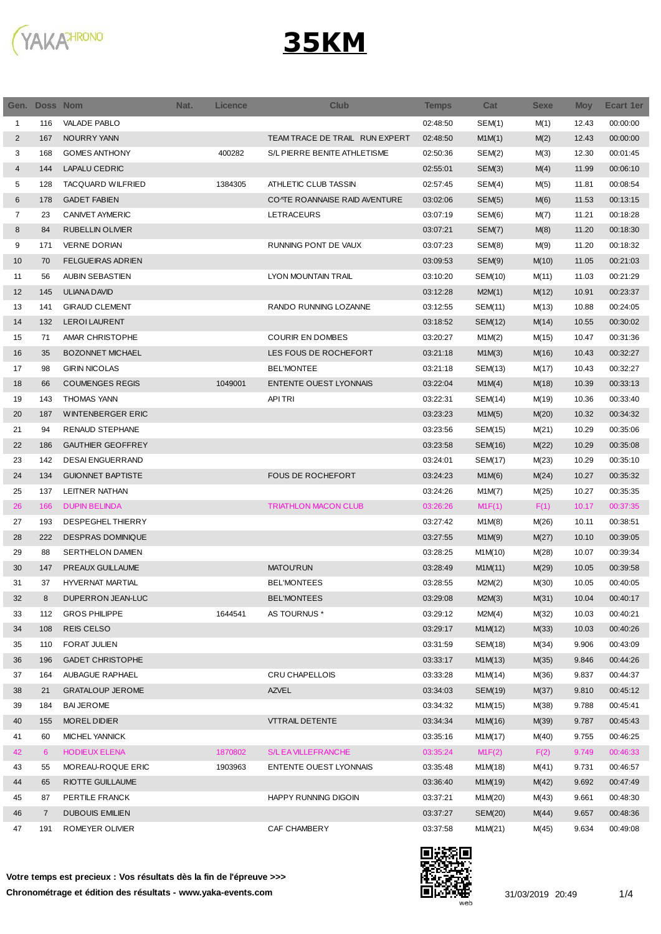

## **35KM**

|                | Gen. Doss Nom  |                          | Nat. | <b>Licence</b> | <b>Club</b>                    | <b>Temps</b> | Cat     | <b>Sexe</b> | <b>Moy</b> | <b>Ecart 1er</b> |
|----------------|----------------|--------------------------|------|----------------|--------------------------------|--------------|---------|-------------|------------|------------------|
| 1              | 116            | <b>VALADE PABLO</b>      |      |                |                                | 02:48:50     | SEM(1)  | M(1)        | 12.43      | 00:00:00         |
| $\overline{2}$ | 167            | NOURRY YANN              |      |                | TEAM TRACE DE TRAIL RUN EXPERT | 02:48:50     | M1M(1)  | M(2)        | 12.43      | 00:00:00         |
| 3              | 168            | <b>GOMES ANTHONY</b>     |      | 400282         | S/L PIERRE BENITE ATHLETISME   | 02:50:36     | SEM(2)  | M(3)        | 12.30      | 00:01:45         |
| 4              | 144            | <b>LAPALU CEDRIC</b>     |      |                |                                | 02:55:01     | SEM(3)  | M(4)        | 11.99      | 00:06:10         |
| 5              | 128            | <b>TACQUARD WILFRIED</b> |      | 1384305        | ATHLETIC CLUB TASSIN           | 02:57:45     | SEM(4)  | M(5)        | 11.81      | 00:08:54         |
| 6              | 178            | <b>GADET FABIEN</b>      |      |                | CONTE ROANNAISE RAID AVENTURE  | 03:02:06     | SEM(5)  | M(6)        | 11.53      | 00:13:15         |
| 7              | 23             | <b>CANIVET AYMERIC</b>   |      |                | LETRACEURS                     | 03:07:19     | SEM(6)  | M(7)        | 11.21      | 00:18:28         |
| 8              | 84             | RUBELLIN OLIVIER         |      |                |                                | 03:07:21     | SEM(7)  | M(8)        | 11.20      | 00:18:30         |
| 9              | 171            | <b>VERNE DORIAN</b>      |      |                | RUNNING PONT DE VAUX           | 03:07:23     | SEM(8)  | M(9)        | 11.20      | 00:18:32         |
| 10             | 70             | <b>FELGUEIRAS ADRIEN</b> |      |                |                                | 03:09:53     | SEM(9)  | M(10)       | 11.05      | 00:21:03         |
| 11             | 56             | AUBIN SEBASTIEN          |      |                | LYON MOUNTAIN TRAIL            | 03:10:20     | SEM(10) | M(11)       | 11.03      | 00:21:29         |
| 12             | 145            | <b>ULIANA DAVID</b>      |      |                |                                | 03:12:28     | M2M(1)  | M(12)       | 10.91      | 00:23:37         |
| 13             | 141            | <b>GIRAUD CLEMENT</b>    |      |                | RANDO RUNNING LOZANNE          | 03:12:55     | SEM(11) | M(13)       | 10.88      | 00:24:05         |
| 14             | 132            | <b>LEROI LAURENT</b>     |      |                |                                | 03:18:52     | SEM(12) | M(14)       | 10.55      | 00:30:02         |
| 15             | 71             | AMAR CHRISTOPHE          |      |                | <b>COURIR EN DOMBES</b>        | 03:20:27     | M1M(2)  | M(15)       | 10.47      | 00:31:36         |
| 16             | 35             | <b>BOZONNET MICHAEL</b>  |      |                | LES FOUS DE ROCHEFORT          | 03:21:18     | M1M(3)  | M(16)       | 10.43      | 00:32:27         |
| 17             | 98             | <b>GIRIN NICOLAS</b>     |      |                | <b>BEL'MONTEE</b>              | 03:21:18     | SEM(13) | M(17)       | 10.43      | 00:32:27         |
| 18             | 66             | <b>COUMENGES REGIS</b>   |      | 1049001        | <b>ENTENTE OUEST LYONNAIS</b>  | 03:22:04     | M1M(4)  | M(18)       | 10.39      | 00:33:13         |
| 19             | 143            | <b>THOMAS YANN</b>       |      |                | <b>APITRI</b>                  | 03:22:31     | SEM(14) | M(19)       | 10.36      | 00:33:40         |
| 20             | 187            | <b>WINTENBERGER ERIC</b> |      |                |                                | 03:23:23     | M1M(5)  | M(20)       | 10.32      | 00:34:32         |
| 21             | 94             | <b>RENAUD STEPHANE</b>   |      |                |                                | 03:23:56     | SEM(15) | M(21)       | 10.29      | 00:35:06         |
| 22             | 186            | <b>GAUTHIER GEOFFREY</b> |      |                |                                | 03:23:58     | SEM(16) | M(22)       | 10.29      | 00:35:08         |
| 23             | 142            | <b>DESAI ENGUERRAND</b>  |      |                |                                | 03:24:01     | SEM(17) | M(23)       | 10.29      | 00:35:10         |
| 24             | 134            | <b>GUIONNET BAPTISTE</b> |      |                | <b>FOUS DE ROCHEFORT</b>       | 03:24:23     | M1M(6)  | M(24)       | 10.27      | 00:35:32         |
| 25             | 137            | LEITNER NATHAN           |      |                |                                | 03:24:26     | M1M(7)  | M(25)       | 10.27      | 00:35:35         |
| 26             | 166            | <b>DUPIN BELINDA</b>     |      |                | <b>TRIATHLON MACON CLUB</b>    | 03:26:26     | M1F(1)  | F(1)        | 10.17      | 00:37:35         |
| 27             | 193            | DESPEGHEL THIERRY        |      |                |                                | 03:27:42     | M1M(8)  | M(26)       | 10.11      | 00:38:51         |
| 28             | 222            | <b>DESPRAS DOMINIQUE</b> |      |                |                                | 03:27:55     | M1M(9)  | M(27)       | 10.10      | 00:39:05         |
| 29             | 88             | <b>SERTHELON DAMIEN</b>  |      |                |                                | 03:28:25     | M1M(10) | M(28)       | 10.07      | 00:39:34         |
| 30             | 147            | <b>PREAUX GUILLAUME</b>  |      |                | <b>MATOU'RUN</b>               | 03:28:49     | M1M(11) | M(29)       | 10.05      | 00:39:58         |
| 31             | 37             | <b>HYVERNAT MARTIAL</b>  |      |                | <b>BEL'MONTEES</b>             | 03:28:55     | M2M(2)  | M(30)       | 10.05      | 00:40:05         |
| 32             | 8              | DUPERRON JEAN-LUC        |      |                | <b>BEL'MONTEES</b>             | 03:29:08     | M2M(3)  | M(31)       | 10.04      | 00:40:17         |
| 33             | 112            | <b>GROS PHILIPPE</b>     |      | 1644541        | AS TOURNUS *                   | 03:29:12     | M2M(4)  | M(32)       | 10.03      | 00:40:21         |
| 34             | 108            | <b>REIS CELSO</b>        |      |                |                                | 03:29:17     | M1M(12) | M(33)       | 10.03      | 00:40:26         |
| 35             | 110            | <b>FORAT JULIEN</b>      |      |                |                                | 03:31:59     | SEM(18) | M(34)       | 9.906      | 00:43:09         |
| 36             | 196            | <b>GADET CHRISTOPHE</b>  |      |                |                                | 03:33:17     | M1M(13) | M(35)       | 9.846      | 00:44:26         |
| 37             | 164            | AUBAGUE RAPHAEL          |      |                | CRU CHAPELLOIS                 | 03:33:28     | M1M(14) | M(36)       | 9.837      | 00:44:37         |
| 38             | 21             | <b>GRATALOUP JEROME</b>  |      |                | <b>AZVEL</b>                   | 03:34:03     | SEM(19) | M(37)       | 9.810      | 00:45:12         |
| 39             | 184            | <b>BAI JEROME</b>        |      |                |                                | 03:34:32     | M1M(15) | M(38)       | 9.788      | 00:45:41         |
| 40             | 155            | MOREL DIDIER             |      |                | <b>VTTRAIL DETENTE</b>         | 03:34:34     | M1M(16) | M(39)       | 9.787      | 00:45:43         |
| 41             | 60             | MICHEL YANNICK           |      |                |                                | 03:35:16     | M1M(17) | M(40)       | 9.755      | 00:46:25         |
| 42             | 6              | <b>HODIEUX ELENA</b>     |      | 1870802        | S/L EA VILLEFRANCHE            | 03:35:24     | M1F(2)  | F(2)        | 9.749      | 00:46:33         |
| 43             | 55             | MOREAU-ROQUE ERIC        |      | 1903963        | ENTENTE OUEST LYONNAIS         | 03:35:48     | M1M(18) | M(41)       | 9.731      | 00:46:57         |
| 44             | 65             | RIOTTE GUILLAUME         |      |                |                                | 03:36:40     | M1M(19) | M(42)       | 9.692      | 00:47:49         |
| 45             | 87             | PERTILE FRANCK           |      |                | HAPPY RUNNING DIGOIN           | 03:37:21     | M1M(20) | M(43)       | 9.661      | 00:48:30         |
| 46             | $\overline{7}$ | <b>DUBOUIS EMILIEN</b>   |      |                |                                | 03:37:27     | SEM(20) | M(44)       | 9.657      | 00:48:36         |
| 47             | 191            | ROMEYER OLIVIER          |      |                | CAF CHAMBERY                   | 03:37:58     | M1M(21) | M(45)       | 9.634      | 00:49:08         |
|                |                |                          |      |                |                                |              |         |             |            |                  |

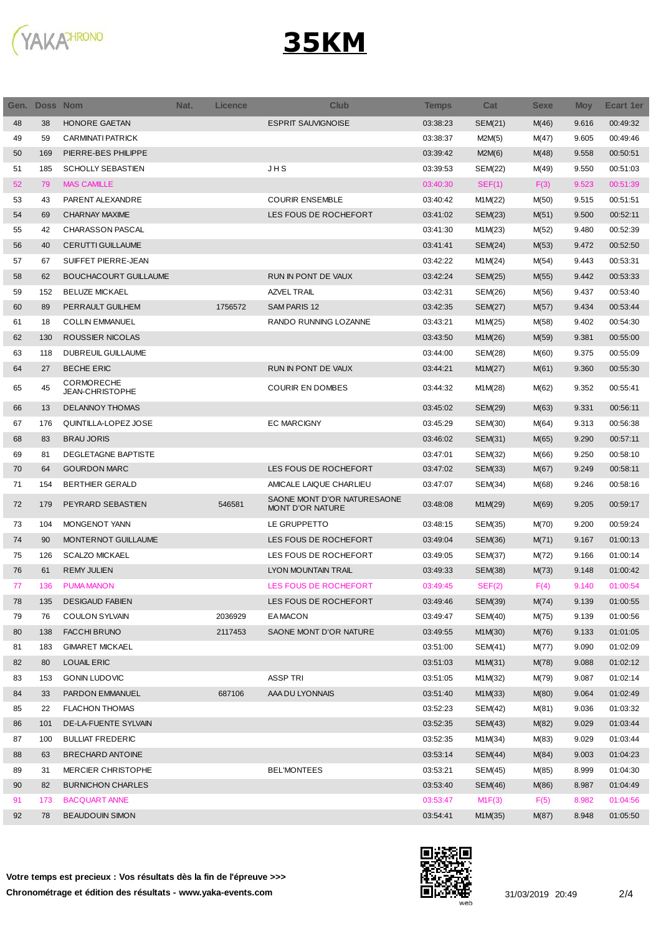

## **35KM**

| Gen. | <b>Doss Nom</b> |                                      | Nat. | <b>Licence</b> | <b>Club</b>                                            | <b>Temps</b> | Cat            | <b>Sexe</b> | <b>Moy</b> | <b>Ecart 1er</b> |
|------|-----------------|--------------------------------------|------|----------------|--------------------------------------------------------|--------------|----------------|-------------|------------|------------------|
| 48   | 38              | HONORE GAETAN                        |      |                | <b>ESPRIT SAUVIGNOISE</b>                              | 03:38:23     | SEM(21)        | M(46)       | 9.616      | 00:49:32         |
| 49   | 59              | <b>CARMINATI PATRICK</b>             |      |                |                                                        | 03:38:37     | M2M(5)         | M(47)       | 9.605      | 00:49:46         |
| 50   | 169             | PIERRE-BES PHILIPPE                  |      |                |                                                        | 03:39:42     | M2M(6)         | M(48)       | 9.558      | 00:50:51         |
| 51   | 185             | <b>SCHOLLY SEBASTIEN</b>             |      |                | JHS                                                    | 03:39:53     | <b>SEM(22)</b> | M(49)       | 9.550      | 00:51:03         |
| 52   | 79              | <b>MAS CAMILLE</b>                   |      |                |                                                        | 03:40:30     | SEF(1)         | F(3)        | 9.523      | 00:51:39         |
| 53   | 43              | PARENT ALEXANDRE                     |      |                | <b>COURIR ENSEMBLE</b>                                 | 03:40:42     | M1M(22)        | M(50)       | 9.515      | 00:51:51         |
| 54   | 69              | <b>CHARNAY MAXIME</b>                |      |                | LES FOUS DE ROCHEFORT                                  | 03:41:02     | SEM(23)        | M(51)       | 9.500      | 00:52:11         |
| 55   | 42              | <b>CHARASSON PASCAL</b>              |      |                |                                                        | 03:41:30     | M1M(23)        | M(52)       | 9.480      | 00:52:39         |
| 56   | 40              | <b>CERUTTI GUILLAUME</b>             |      |                |                                                        | 03:41:41     | SEM(24)        | M(53)       | 9.472      | 00:52:50         |
| 57   | 67              | SUIFFET PIERRE-JEAN                  |      |                |                                                        | 03:42:22     | M1M(24)        | M(54)       | 9.443      | 00:53:31         |
| 58   | 62              | <b>BOUCHACOURT GUILLAUME</b>         |      |                | RUN IN PONT DE VAUX                                    | 03:42:24     | SEM(25)        | M(55)       | 9.442      | 00:53:33         |
| 59   | 152             | <b>BELUZE MICKAEL</b>                |      |                | AZVEL TRAIL                                            | 03:42:31     | SEM(26)        | M(56)       | 9.437      | 00:53:40         |
| 60   | 89              | PERRAULT GUILHEM                     |      | 1756572        | SAM PARIS 12                                           | 03:42:35     | SEM(27)        | M(57)       | 9.434      | 00:53:44         |
| 61   | 18              | <b>COLLIN EMMANUEL</b>               |      |                | RANDO RUNNING LOZANNE                                  | 03:43:21     | M1M(25)        | M(58)       | 9.402      | 00:54:30         |
| 62   | 130             | ROUSSIER NICOLAS                     |      |                |                                                        | 03:43:50     | M1M(26)        | M(59)       | 9.381      | 00:55:00         |
| 63   | 118             | <b>DUBREUIL GUILLAUME</b>            |      |                |                                                        | 03:44:00     | SEM(28)        | M(60)       | 9.375      | 00:55:09         |
| 64   | 27              | <b>BECHE ERIC</b>                    |      |                | RUN IN PONT DE VAUX                                    | 03:44:21     | M1M(27)        | M(61)       | 9.360      | 00:55:30         |
| 65   | 45              | <b>CORMORECHE</b><br>JEAN-CHRISTOPHE |      |                | <b>COURIR EN DOMBES</b>                                | 03:44:32     | M1M(28)        | M(62)       | 9.352      | 00:55:41         |
| 66   | 13              | <b>DELANNOY THOMAS</b>               |      |                |                                                        | 03:45:02     | SEM(29)        | M(63)       | 9.331      | 00:56:11         |
| 67   | 176             | QUINTILLA-LOPEZ JOSE                 |      |                | <b>EC MARCIGNY</b>                                     | 03:45:29     | SEM(30)        | M(64)       | 9.313      | 00:56:38         |
| 68   | 83              | <b>BRAU JORIS</b>                    |      |                |                                                        | 03:46:02     | SEM(31)        | M(65)       | 9.290      | 00:57:11         |
| 69   | 81              | <b>DEGLETAGNE BAPTISTE</b>           |      |                |                                                        | 03:47:01     | SEM(32)        | M(66)       | 9.250      | 00:58:10         |
| 70   | 64              | <b>GOURDON MARC</b>                  |      |                | LES FOUS DE ROCHEFORT                                  | 03:47:02     | SEM(33)        | M(67)       | 9.249      | 00:58:11         |
| 71   | 154             | <b>BERTHIER GERALD</b>               |      |                | AMICALE LAIQUE CHARLIEU                                | 03:47:07     | SEM(34)        | M(68)       | 9.246      | 00:58:16         |
| 72   | 179             | PEYRARD SEBASTIEN                    |      | 546581         | SAONE MONT D'OR NATURESAONE<br><b>MONT D'OR NATURE</b> | 03:48:08     | M1M(29)        | M(69)       | 9.205      | 00:59:17         |
| 73   | 104             | MONGENOT YANN                        |      |                | LE GRUPPETTO                                           | 03:48:15     | SEM(35)        | M(70)       | 9.200      | 00:59:24         |
| 74   | 90              | MONTERNOT GUILLAUME                  |      |                | LES FOUS DE ROCHEFORT                                  | 03:49:04     | SEM(36)        | M(71)       | 9.167      | 01:00:13         |
| 75   | 126             | <b>SCALZO MICKAEL</b>                |      |                | LES FOUS DE ROCHEFORT                                  | 03:49:05     | SEM(37)        | M(72)       | 9.166      | 01:00:14         |
| 76   | 61              | <b>REMY JULIEN</b>                   |      |                | <b>LYON MOUNTAIN TRAIL</b>                             | 03:49:33     | <b>SEM(38)</b> | M(73)       | 9.148      | 01:00:42         |
| 77   | 136             | <b>PUMA MANON</b>                    |      |                | LES FOUS DE ROCHEFORT                                  | 03:49:45     | SEF(2)         | F(4)        | 9.140      | 01:00:54         |
| 78   | 135             | <b>DESIGAUD FABIEN</b>               |      |                | LES FOUS DE ROCHEFORT                                  | 03:49:46     | SEM(39)        | M(74)       | 9.139      | 01:00:55         |
| 79   | 76              | <b>COULON SYLVAIN</b>                |      | 2036929        | <b>EAMACON</b>                                         | 03:49:47     | <b>SEM(40)</b> | M(75)       | 9.139      | 01:00:56         |
| 80   | 138             | <b>FACCHI BRUNO</b>                  |      | 2117453        | SAONE MONT D'OR NATURE                                 | 03:49:55     | M1M(30)        | M(76)       | 9.133      | 01:01:05         |
| 81   | 183             | <b>GIMARET MICKAEL</b>               |      |                |                                                        | 03:51:00     | SEM(41)        | M(77)       | 9.090      | 01:02:09         |
| 82   | 80              | <b>LOUAIL ERIC</b>                   |      |                |                                                        | 03:51:03     | M1M(31)        | M(78)       | 9.088      | 01:02:12         |
| 83   | 153             | <b>GONIN LUDOVIC</b>                 |      |                | <b>ASSP TRI</b>                                        | 03:51:05     | M1M(32)        | M(79)       | 9.087      | 01:02:14         |
| 84   | 33              | PARDON EMMANUEL                      |      | 687106         | AAA DU LYONNAIS                                        | 03:51:40     | M1M(33)        | M(80)       | 9.064      | 01:02:49         |
| 85   | 22              | <b>FLACHON THOMAS</b>                |      |                |                                                        | 03:52:23     | SEM(42)        | M(81)       | 9.036      | 01:03:32         |
| 86   | 101             | DE-LA-FUENTE SYLVAIN                 |      |                |                                                        | 03:52:35     | SEM(43)        | M(82)       | 9.029      | 01:03:44         |
| 87   | 100             | <b>BULLIAT FREDERIC</b>              |      |                |                                                        | 03:52:35     | M1M(34)        | M(83)       | 9.029      | 01:03:44         |
| 88   | 63              | BRECHARD ANTOINE                     |      |                |                                                        | 03:53:14     | SEM(44)        | M(84)       | 9.003      | 01:04:23         |
| 89   | 31              | MERCIER CHRISTOPHE                   |      |                | <b>BEL'MONTEES</b>                                     | 03:53:21     | SEM(45)        | M(85)       | 8.999      | 01:04:30         |
| 90   | 82              | <b>BURNICHON CHARLES</b>             |      |                |                                                        | 03:53:40     | SEM(46)        | M(86)       | 8.987      | 01:04:49         |
| 91   | 173             | <b>BACQUART ANNE</b>                 |      |                |                                                        | 03:53:47     | M1F(3)         | F(5)        | 8.982      | 01:04:56         |
| 92   | 78              | <b>BEAUDOUIN SIMON</b>               |      |                |                                                        | 03:54:41     | M1M(35)        | M(87)       | 8.948      | 01:05:50         |

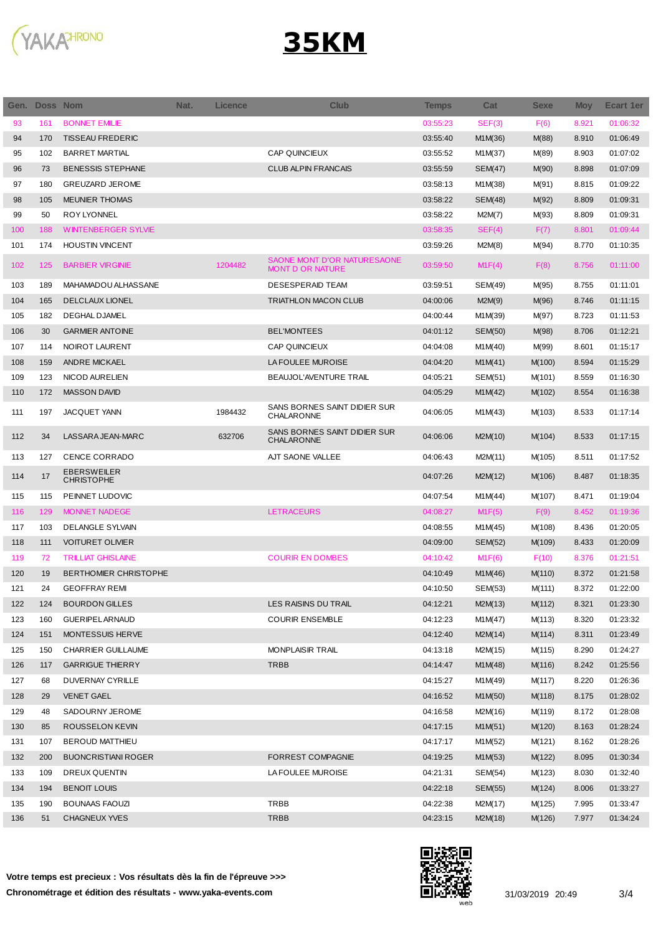



| Gen. | Doss Nom |                                         | Nat. | <b>Licence</b> | <b>Club</b>                                            | <b>Temps</b> | Cat            | <b>Sexe</b> | <b>Moy</b> | <b>Ecart 1er</b> |
|------|----------|-----------------------------------------|------|----------------|--------------------------------------------------------|--------------|----------------|-------------|------------|------------------|
| 93   | 161      | <b>BONNET EMILIE</b>                    |      |                |                                                        | 03:55:23     | SEF(3)         | F(6)        | 8.921      | 01:06:32         |
| 94   | 170      | <b>TISSEAU FREDERIC</b>                 |      |                |                                                        | 03:55:40     | M1M(36)        | M(88)       | 8.910      | 01:06:49         |
| 95   | 102      | <b>BARRET MARTIAL</b>                   |      |                | CAP QUINCIEUX                                          | 03:55:52     | M1M(37)        | M(89)       | 8.903      | 01:07:02         |
| 96   | 73       | <b>BENESSIS STEPHANE</b>                |      |                | <b>CLUB ALPIN FRANCAIS</b>                             | 03:55:59     | <b>SEM(47)</b> | M(90)       | 8.898      | 01:07:09         |
| 97   | 180      | <b>GREUZARD JEROME</b>                  |      |                |                                                        | 03:58:13     | M1M(38)        | M(91)       | 8.815      | 01:09:22         |
| 98   | 105      | <b>MEUNIER THOMAS</b>                   |      |                |                                                        | 03:58:22     | SEM(48)        | M(92)       | 8.809      | 01:09:31         |
| 99   | 50       | <b>ROY LYONNEL</b>                      |      |                |                                                        | 03:58:22     | M2M(7)         | M(93)       | 8.809      | 01:09:31         |
| 100  | 188      | <b>WINTENBERGER SYLVIE</b>              |      |                |                                                        | 03:58:35     | SEF(4)         | F(7)        | 8.801      | 01:09:44         |
| 101  | 174      | <b>HOUSTIN VINCENT</b>                  |      |                |                                                        | 03:59:26     | M2M(8)         | M(94)       | 8.770      | 01:10:35         |
| 102  | 125      | <b>BARBIER VIRGINIE</b>                 |      | 1204482        | SAONE MONT D'OR NATURESAONE<br><b>MONT D OR NATURE</b> | 03:59:50     | M1F(4)         | F(8)        | 8.756      | 01:11:00         |
| 103  | 189      | MAHAMADOU ALHASSANE                     |      |                | <b>DESESPERAID TEAM</b>                                | 03:59:51     | SEM(49)        | M(95)       | 8.755      | 01:11:01         |
| 104  | 165      | <b>DELCLAUX LIONEL</b>                  |      |                | <b>TRIATHLON MACON CLUB</b>                            | 04:00:06     | M2M(9)         | M(96)       | 8.746      | 01:11:15         |
| 105  | 182      | <b>DEGHAL DJAMEL</b>                    |      |                |                                                        | 04:00:44     | M1M(39)        | M(97)       | 8.723      | 01:11:53         |
| 106  | 30       | <b>GARMIER ANTOINE</b>                  |      |                | <b>BEL'MONTEES</b>                                     | 04:01:12     | <b>SEM(50)</b> | M(98)       | 8.706      | 01:12:21         |
| 107  | 114      | NOIROT LAURENT                          |      |                | CAP QUINCIEUX                                          | 04:04:08     | M1M(40)        | M(99)       | 8.601      | 01:15:17         |
| 108  | 159      | <b>ANDRE MICKAEL</b>                    |      |                | LA FOULEE MUROISE                                      | 04:04:20     | M1M(41)        | M(100)      | 8.594      | 01:15:29         |
| 109  | 123      | NICOD AURELIEN                          |      |                | BEAUJOL'AVENTURE TRAIL                                 | 04:05:21     | SEM(51)        | M(101)      | 8.559      | 01:16:30         |
| 110  | 172      | <b>MASSON DAVID</b>                     |      |                |                                                        | 04:05:29     | M1M(42)        | M(102)      | 8.554      | 01:16:38         |
| 111  | 197      | <b>JACQUET YANN</b>                     |      | 1984432        | SANS BORNES SAINT DIDIER SUR<br>CHALARONNE             | 04:06:05     | M1M(43)        | M(103)      | 8.533      | 01:17:14         |
| 112  | 34       | LASSARA JEAN-MARC                       |      | 632706         | SANS BORNES SAINT DIDIER SUR<br>CHALARONNE             | 04:06:06     | M2M(10)        | M(104)      | 8.533      | 01:17:15         |
| 113  | 127      | <b>CENCE CORRADO</b>                    |      |                | AJT SAONE VALLEE                                       | 04:06:43     | M2M(11)        | M(105)      | 8.511      | 01:17:52         |
| 114  | 17       | <b>EBERSWEILER</b><br><b>CHRISTOPHE</b> |      |                |                                                        | 04:07:26     | M2M(12)        | M(106)      | 8.487      | 01:18:35         |
| 115  | 115      | PEINNET LUDOVIC                         |      |                |                                                        | 04:07:54     | M1M(44)        | M(107)      | 8.471      | 01:19:04         |
| 116  | 129      | <b>MONNET NADEGE</b>                    |      |                | <b>LETRACEURS</b>                                      | 04:08:27     | M1F(5)         | F(9)        | 8.452      | 01:19:36         |
| 117  | 103      | DELANGLE SYLVAIN                        |      |                |                                                        | 04:08:55     | M1M(45)        | M(108)      | 8.436      | 01:20:05         |
| 118  | 111      | <b>VOITURET OLIVIER</b>                 |      |                |                                                        | 04:09:00     | <b>SEM(52)</b> | M(109)      | 8.433      | 01:20:09         |
| 119  | 72       | <b>TRILLIAT GHISLAINE</b>               |      |                | <b>COURIR EN DOMBES</b>                                | 04:10:42     | M1F(6)         | F(10)       | 8.376      | 01:21:51         |
| 120  | 19       | BERTHOMIER CHRISTOPHE                   |      |                |                                                        | 04:10:49     | M1M(46)        | M(110)      | 8.372      | 01:21:58         |
| 121  | 24       | <b>GEOFFRAY REMI</b>                    |      |                |                                                        | 04:10:50     | SEM(53)        | M(111)      | 8.372      | 01:22:00         |
| 122  | 124      | <b>BOURDON GILLES</b>                   |      |                | LES RAISINS DU TRAIL                                   | 04:12:21     | M2M(13)        | M(112)      | 8.321      | 01:23:30         |
| 123  | 160      | <b>GUERIPELARNAUD</b>                   |      |                | <b>COURIR ENSEMBLE</b>                                 | 04:12:23     | M1M(47)        | M(113)      | 8.320      | 01:23:32         |
| 124  | 151      | MONTESSUIS HERVE                        |      |                |                                                        | 04:12:40     | M2M(14)        | M(114)      | 8.311      | 01:23:49         |
| 125  | 150      | <b>CHARRIER GUILLAUME</b>               |      |                | <b>MONPLAISIR TRAIL</b>                                | 04:13:18     | M2M(15)        | M(115)      | 8.290      | 01:24:27         |
| 126  | 117      | <b>GARRIGUE THIERRY</b>                 |      |                | <b>TRBB</b>                                            | 04:14:47     | M1M(48)        | M(116)      | 8.242      | 01:25:56         |
| 127  | 68       | DUVERNAY CYRILLE                        |      |                |                                                        | 04:15:27     | M1M(49)        | M(117)      | 8.220      | 01:26:36         |
| 128  | 29       | <b>VENET GAEL</b>                       |      |                |                                                        | 04:16:52     | M1M(50)        | M(118)      | 8.175      | 01:28:02         |
| 129  | 48       | SADOURNY JEROME                         |      |                |                                                        | 04:16:58     | M2M(16)        | M(119)      | 8.172      | 01:28:08         |
| 130  | 85       | ROUSSELON KEVIN                         |      |                |                                                        | 04:17:15     | M1M(51)        | M(120)      | 8.163      | 01:28:24         |
| 131  | 107      | <b>BEROUD MATTHIEU</b>                  |      |                |                                                        | 04:17:17     | M1M(52)        | M(121)      | 8.162      | 01:28:26         |
| 132  | 200      | <b>BUONCRISTIANI ROGER</b>              |      |                | FORREST COMPAGNIE                                      | 04:19:25     | M1M(53)        | M(122)      | 8.095      | 01:30:34         |
| 133  | 109      | DREUX QUENTIN                           |      |                | LA FOULEE MUROISE                                      | 04:21:31     | SEM(54)        | M(123)      | 8.030      | 01:32:40         |
| 134  | 194      | <b>BENOIT LOUIS</b>                     |      |                |                                                        | 04:22:18     | SEM(55)        | M(124)      | 8.006      | 01:33:27         |
| 135  | 190      | <b>BOUNAAS FAOUZI</b>                   |      |                | TRBB                                                   | 04:22:38     | M2M(17)        | M(125)      | 7.995      | 01:33:47         |
| 136  | 51       | <b>CHAGNEUX YVES</b>                    |      |                | <b>TRBB</b>                                            | 04:23:15     | M2M(18)        | M(126)      | 7.977      | 01:34:24         |